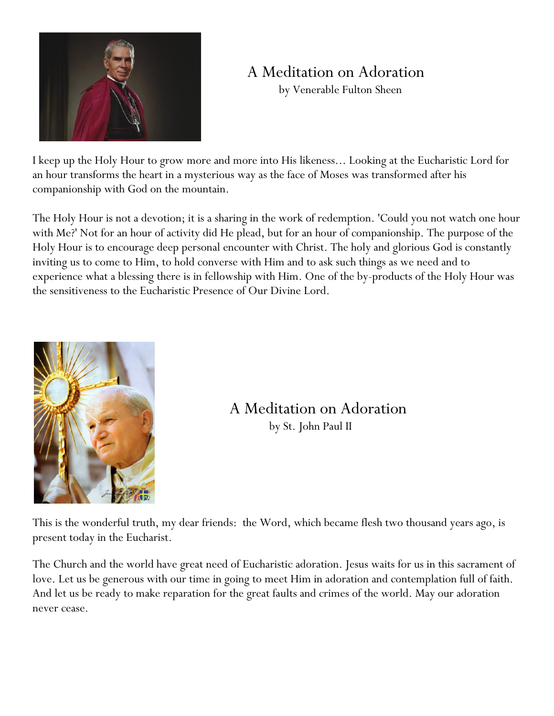

# A Meditation on Adoration

by Venerable Fulton Sheen

I keep up the Holy Hour to grow more and more into His likeness... Looking at the Eucharistic Lord for an hour transforms the heart in a mysterious way as the face of Moses was transformed after his companionship with God on the mountain.

The Holy Hour is not a devotion; it is a sharing in the work of redemption. 'Could you not watch one hour with Me?' Not for an hour of activity did He plead, but for an hour of companionship. The purpose of the Holy Hour is to encourage deep personal encounter with Christ. The holy and glorious God is constantly inviting us to come to Him, to hold converse with Him and to ask such things as we need and to experience what a blessing there is in fellowship with Him. One of the by-products of the Holy Hour was the sensitiveness to the Eucharistic Presence of Our Divine Lord.



A Meditation on Adoration by St. John Paul II

This is the wonderful truth, my dear friends: the Word, which became flesh two thousand years ago, is present today in the Eucharist.

The Church and the world have great need of Eucharistic adoration. Jesus waits for us in this sacrament of love. Let us be generous with our time in going to meet Him in adoration and contemplation full of faith. And let us be ready to make reparation for the great faults and crimes of the world. May our adoration never cease.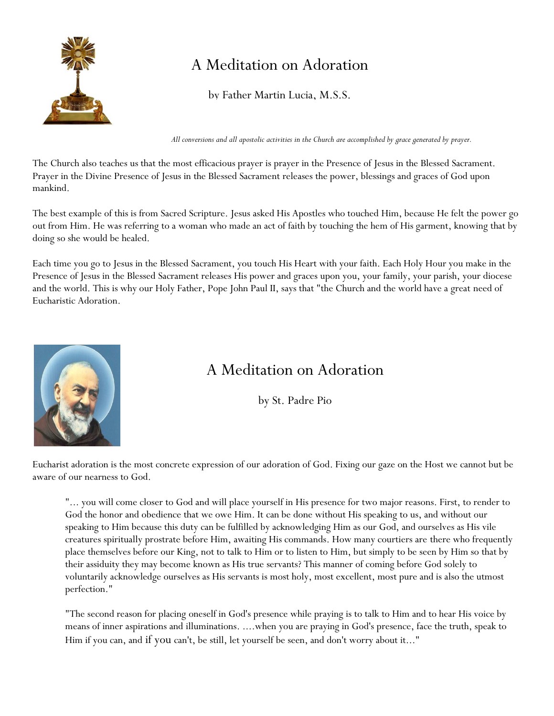

# A Meditation on Adoration

by Father Martin Lucia, M.S.S.

*All conversions and all apostolic activities in the Church are accomplished by grace generated by prayer.*

The Church also teaches us that the most efficacious prayer is prayer in the Presence of Jesus in the Blessed Sacrament. Prayer in the Divine Presence of Jesus in the Blessed Sacrament releases the power, blessings and graces of God upon mankind.

The best example of this is from Sacred Scripture. Jesus asked His Apostles who touched Him, because He felt the power go out from Him. He was referring to a woman who made an act of faith by touching the hem of His garment, knowing that by doing so she would be healed.

Each time you go to Jesus in the Blessed Sacrament, you touch His Heart with your faith. Each Holy Hour you make in the Presence of Jesus in the Blessed Sacrament releases His power and graces upon you, your family, your parish, your diocese and the world. This is why our Holy Father, Pope John Paul II, says that "the Church and the world have a great need of Eucharistic Adoration.



### A Meditation on Adoration

by St. Padre Pio

Eucharist adoration is the most concrete expression of our adoration of God. Fixing our gaze on the Host we cannot but be aware of our nearness to God.

"... you will come closer to God and will place yourself in His presence for two major reasons. First, to render to God the honor and obedience that we owe Him. It can be done without His speaking to us, and without our speaking to Him because this duty can be fulfilled by acknowledging Him as our God, and ourselves as His vile creatures spiritually prostrate before Him, awaiting His commands. How many courtiers are there who frequently place themselves before our King, not to talk to Him or to listen to Him, but simply to be seen by Him so that by their assiduity they may become known as His true servants? This manner of coming before God solely to voluntarily acknowledge ourselves as His servants is most holy, most excellent, most pure and is also the utmost perfection."

"The second reason for placing oneself in God's presence while praying is to talk to Him and to hear His voice by means of inner aspirations and illuminations. ....when you are praying in God's presence, face the truth, speak to Him if you can, and if you can't, be still, let yourself be seen, and don't worry about it..."